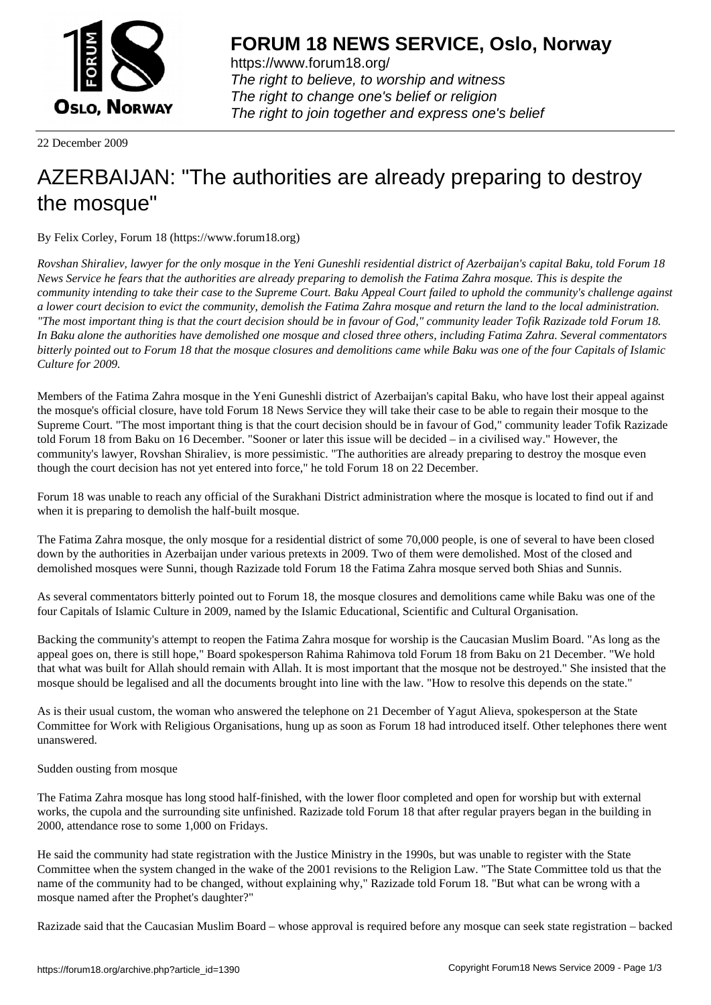

https://www.forum18.org/ The right to believe, to worship and witness The right to change one's belief or religion [The right to join together a](https://www.forum18.org/)nd express one's belief

22 December 2009

## [AZERBAIJAN: "](https://www.forum18.org)The authorities are already preparing to destroy the mosque"

By Felix Corley, Forum 18 (https://www.forum18.org)

*Rovshan Shiraliev, lawyer for the only mosque in the Yeni Guneshli residential district of Azerbaijan's capital Baku, told Forum 18 News Service he fears that the authorities are already preparing to demolish the Fatima Zahra mosque. This is despite the community intending to take their case to the Supreme Court. Baku Appeal Court failed to uphold the community's challenge against a lower court decision to evict the community, demolish the Fatima Zahra mosque and return the land to the local administration. "The most important thing is that the court decision should be in favour of God," community leader Tofik Razizade told Forum 18. In Baku alone the authorities have demolished one mosque and closed three others, including Fatima Zahra. Several commentators bitterly pointed out to Forum 18 that the mosque closures and demolitions came while Baku was one of the four Capitals of Islamic Culture for 2009.*

Members of the Fatima Zahra mosque in the Yeni Guneshli district of Azerbaijan's capital Baku, who have lost their appeal against the mosque's official closure, have told Forum 18 News Service they will take their case to be able to regain their mosque to the Supreme Court. "The most important thing is that the court decision should be in favour of God," community leader Tofik Razizade told Forum 18 from Baku on 16 December. "Sooner or later this issue will be decided – in a civilised way." However, the community's lawyer, Rovshan Shiraliev, is more pessimistic. "The authorities are already preparing to destroy the mosque even though the court decision has not yet entered into force," he told Forum 18 on 22 December.

Forum 18 was unable to reach any official of the Surakhani District administration where the mosque is located to find out if and when it is preparing to demolish the half-built mosque.

The Fatima Zahra mosque, the only mosque for a residential district of some 70,000 people, is one of several to have been closed down by the authorities in Azerbaijan under various pretexts in 2009. Two of them were demolished. Most of the closed and demolished mosques were Sunni, though Razizade told Forum 18 the Fatima Zahra mosque served both Shias and Sunnis.

As several commentators bitterly pointed out to Forum 18, the mosque closures and demolitions came while Baku was one of the four Capitals of Islamic Culture in 2009, named by the Islamic Educational, Scientific and Cultural Organisation.

Backing the community's attempt to reopen the Fatima Zahra mosque for worship is the Caucasian Muslim Board. "As long as the appeal goes on, there is still hope," Board spokesperson Rahima Rahimova told Forum 18 from Baku on 21 December. "We hold that what was built for Allah should remain with Allah. It is most important that the mosque not be destroyed." She insisted that the mosque should be legalised and all the documents brought into line with the law. "How to resolve this depends on the state."

As is their usual custom, the woman who answered the telephone on 21 December of Yagut Alieva, spokesperson at the State Committee for Work with Religious Organisations, hung up as soon as Forum 18 had introduced itself. Other telephones there went unanswered.

Sudden ousting from mosque

The Fatima Zahra mosque has long stood half-finished, with the lower floor completed and open for worship but with external works, the cupola and the surrounding site unfinished. Razizade told Forum 18 that after regular prayers began in the building in 2000, attendance rose to some 1,000 on Fridays.

He said the community had state registration with the Justice Ministry in the 1990s, but was unable to register with the State Committee when the system changed in the wake of the 2001 revisions to the Religion Law. "The State Committee told us that the name of the community had to be changed, without explaining why," Razizade told Forum 18. "But what can be wrong with a mosque named after the Prophet's daughter?"

Razizade said that the Caucasian Muslim Board – whose approval is required before any mosque can seek state registration – backed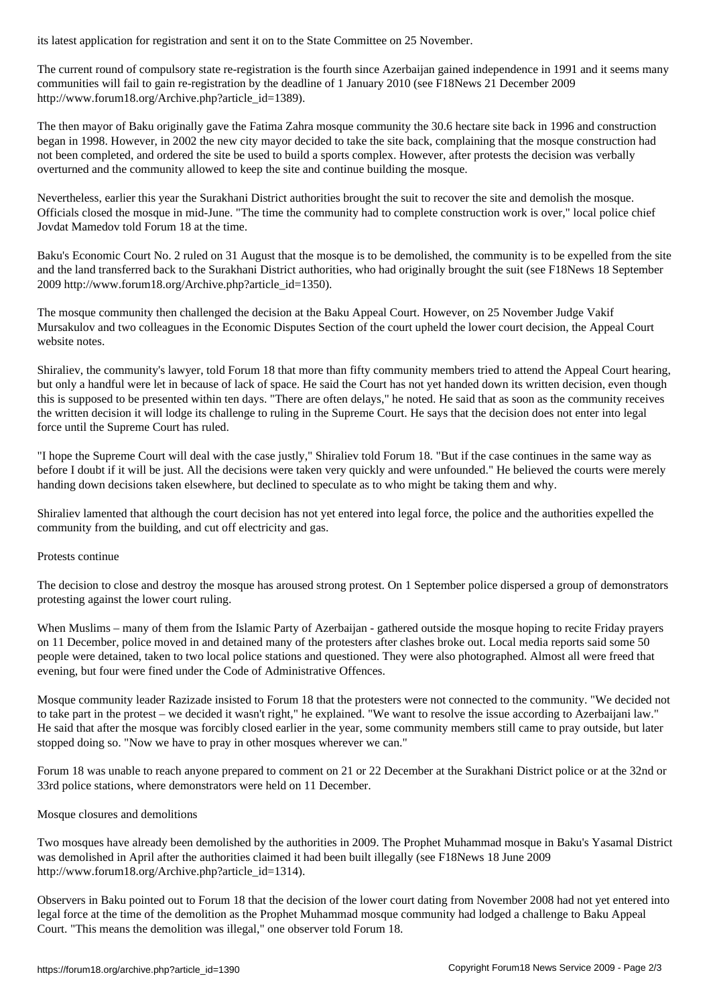The current round of compulsory state re-registration is the fourth since Azerbaijan gained independence in 1991 and it seems many communities will fail to gain re-registration by the deadline of 1 January 2010 (see F18News 21 December 2009 http://www.forum18.org/Archive.php?article\_id=1389).

The then mayor of Baku originally gave the Fatima Zahra mosque community the 30.6 hectare site back in 1996 and construction began in 1998. However, in 2002 the new city mayor decided to take the site back, complaining that the mosque construction had not been completed, and ordered the site be used to build a sports complex. However, after protests the decision was verbally overturned and the community allowed to keep the site and continue building the mosque.

Nevertheless, earlier this year the Surakhani District authorities brought the suit to recover the site and demolish the mosque. Officials closed the mosque in mid-June. "The time the community had to complete construction work is over," local police chief Jovdat Mamedov told Forum 18 at the time.

Baku's Economic Court No. 2 ruled on 31 August that the mosque is to be demolished, the community is to be expelled from the site and the land transferred back to the Surakhani District authorities, who had originally brought the suit (see F18News 18 September 2009 http://www.forum18.org/Archive.php?article\_id=1350).

The mosque community then challenged the decision at the Baku Appeal Court. However, on 25 November Judge Vakif Mursakulov and two colleagues in the Economic Disputes Section of the court upheld the lower court decision, the Appeal Court website notes.

Shiraliev, the community's lawyer, told Forum 18 that more than fifty community members tried to attend the Appeal Court hearing, but only a handful were let in because of lack of space. He said the Court has not yet handed down its written decision, even though this is supposed to be presented within ten days. "There are often delays," he noted. He said that as soon as the community receives the written decision it will lodge its challenge to ruling in the Supreme Court. He says that the decision does not enter into legal force until the Supreme Court has ruled.

"I hope the Supreme Court will deal with the case justly," Shiraliev told Forum 18. "But if the case continues in the same way as before I doubt if it will be just. All the decisions were taken very quickly and were unfounded." He believed the courts were merely handing down decisions taken elsewhere, but declined to speculate as to who might be taking them and why.

Shiraliev lamented that although the court decision has not yet entered into legal force, the police and the authorities expelled the community from the building, and cut off electricity and gas.

## Protests continue

The decision to close and destroy the mosque has aroused strong protest. On 1 September police dispersed a group of demonstrators protesting against the lower court ruling.

When Muslims – many of them from the Islamic Party of Azerbaijan - gathered outside the mosque hoping to recite Friday prayers on 11 December, police moved in and detained many of the protesters after clashes broke out. Local media reports said some 50 people were detained, taken to two local police stations and questioned. They were also photographed. Almost all were freed that evening, but four were fined under the Code of Administrative Offences.

Mosque community leader Razizade insisted to Forum 18 that the protesters were not connected to the community. "We decided not to take part in the protest – we decided it wasn't right," he explained. "We want to resolve the issue according to Azerbaijani law." He said that after the mosque was forcibly closed earlier in the year, some community members still came to pray outside, but later stopped doing so. "Now we have to pray in other mosques wherever we can."

Forum 18 was unable to reach anyone prepared to comment on 21 or 22 December at the Surakhani District police or at the 32nd or 33rd police stations, where demonstrators were held on 11 December.

## Mosque closures and demolitions

Two mosques have already been demolished by the authorities in 2009. The Prophet Muhammad mosque in Baku's Yasamal District was demolished in April after the authorities claimed it had been built illegally (see F18News 18 June 2009 http://www.forum18.org/Archive.php?article\_id=1314).

Observers in Baku pointed out to Forum 18 that the decision of the lower court dating from November 2008 had not yet entered into legal force at the time of the demolition as the Prophet Muhammad mosque community had lodged a challenge to Baku Appeal Court. "This means the demolition was illegal," one observer told Forum 18.